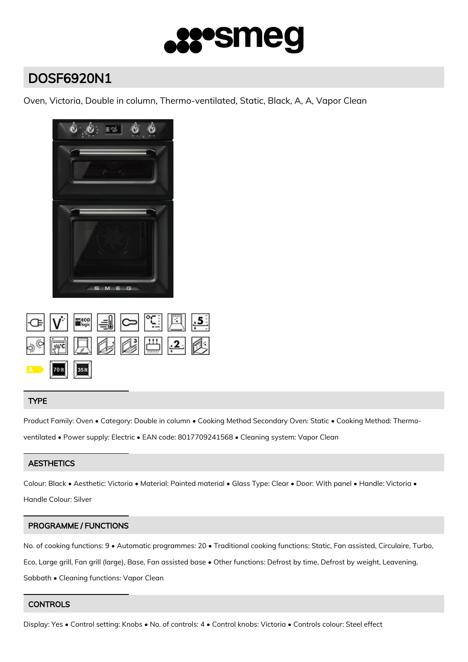

# DOSF6920N1

Oven, Victoria, Double in column, Thermo-ventilated, Static, Black, A, A, Vapor Clean



|               |  | * F 只要感出! 2 |  |
|---------------|--|-------------|--|
| A 70 It 35 It |  |             |  |

# TYPE

Product Family: Oven • Category: Double in column • Cooking Method Secondary Oven: Static • Cooking Method: Thermo-

ventilated • Power supply: Electric • EAN code: 8017709241568 • Cleaning system: Vapor Clean

## **AESTHETICS**

Colour: Black • Aesthetic: Victoria • Material: Painted material • Glass Type: Clear • Door: With panel • Handle: Victoria •

Handle Colour: Silver

## PROGRAMME / FUNCTIONS

No. of cooking functions: 9 • Automatic programmes: 20 • Traditional cooking functions: Static, Fan assisted, Circulaire, Turbo, Eco, Large grill, Fan grill (large), Base, Fan assisted base • Other functions: Defrost by time, Defrost by weight, Leavening, Sabbath • Cleaning functions: Vapor Clean

## **CONTROLS**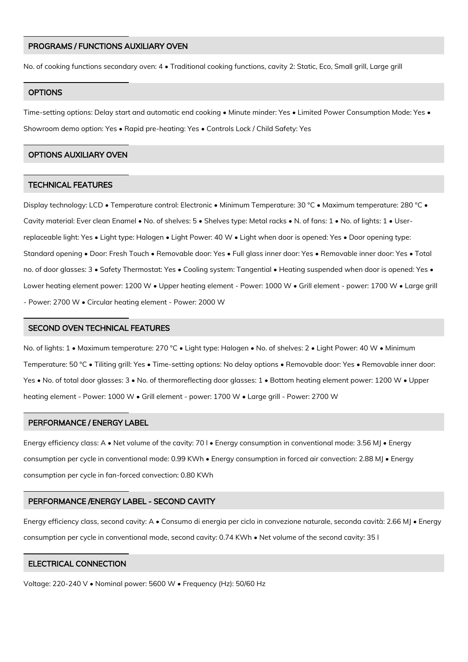#### PROGRAMS / FUNCTIONS AUXILIARY OVEN

No. of cooking functions secondary oven: 4 • Traditional cooking functions, cavity 2: Static, Eco, Small grill, Large grill

#### **OPTIONS**

Time-setting options: Delay start and automatic end cooking • Minute minder: Yes • Limited Power Consumption Mode: Yes • Showroom demo option: Yes • Rapid pre-heating: Yes • Controls Lock / Child Safety: Yes

#### OPTIONS AUXILIARY OVEN

#### TECHNICAL FEATURES

Display technology: LCD • Temperature control: Electronic • Minimum Temperature: 30 °C • Maximum temperature: 280 °C • Cavity material: Ever clean Enamel • No. of shelves: 5 • Shelves type: Metal racks • N. of fans: 1 • No. of lights: 1 • Userreplaceable light: Yes • Light type: Halogen • Light Power: 40 W • Light when door is opened: Yes • Door opening type: Standard opening • Door: Fresh Touch • Removable door: Yes • Full glass inner door: Yes • Removable inner door: Yes • Total no. of door glasses: 3 • Safety Thermostat: Yes • Cooling system: Tangential • Heating suspended when door is opened: Yes • Lower heating element power: 1200 W • Upper heating element - Power: 1000 W • Grill element - power: 1700 W • Large grill - Power: 2700 W • Circular heating element - Power: 2000 W

#### SECOND OVEN TECHNICAL FEATURES

No. of lights: 1 • Maximum temperature: 270 °C • Light type: Halogen • No. of shelves: 2 • Light Power: 40 W • Minimum Temperature: 50 °C • Tiliting grill: Yes • Time-setting options: No delay options • Removable door: Yes • Removable inner door: Yes • No. of total door glasses: 3 • No. of thermoreflecting door glasses: 1 • Bottom heating element power: 1200 W • Upper heating element - Power: 1000 W • Grill element - power: 1700 W • Large grill - Power: 2700 W

#### PERFORMANCE / ENERGY LABEL

Energy efficiency class: A • Net volume of the cavity: 70 l • Energy consumption in conventional mode: 3.56 MJ • Energy consumption per cycle in conventional mode: 0.99 KWh • Energy consumption in forced air convection: 2.88 MJ • Energy consumption per cycle in fan-forced convection: 0.80 KWh

#### PERFORMANCE /ENERGY LABEL - SECOND CAVITY

Energy efficiency class, second cavity: A • Consumo di energia per ciclo in convezione naturale, seconda cavità: 2.66 MJ • Energy consumption per cycle in conventional mode, second cavity: 0.74 KWh • Net volume of the second cavity: 35 l

### ELECTRICAL CONNECTION

Voltage: 220-240 V • Nominal power: 5600 W • Frequency (Hz): 50/60 Hz